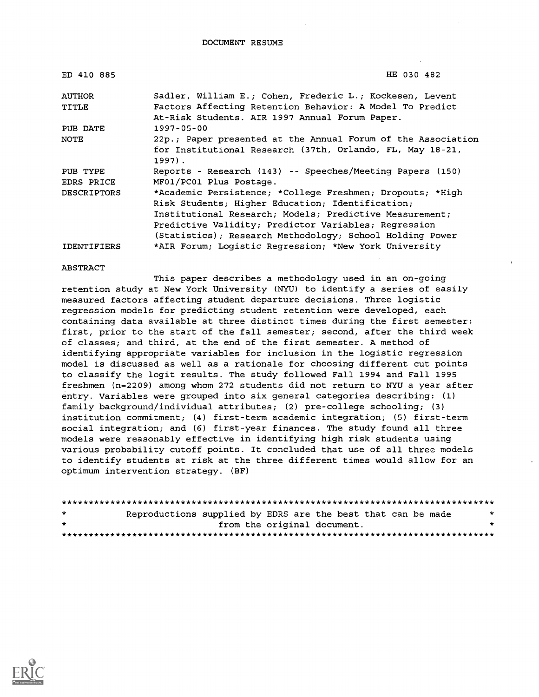| ED 410 885         | HE 030 482                                                   |
|--------------------|--------------------------------------------------------------|
| <b>AUTHOR</b>      | Sadler, William E.; Cohen, Frederic L.; Kockesen, Levent     |
| TITLE              | Factors Affecting Retention Behavior: A Model To Predict     |
|                    | At-Risk Students. AIR 1997 Annual Forum Paper.               |
| PUB DATE           | $1997 - 05 - 00$                                             |
| NOTE               | 22p.; Paper presented at the Annual Forum of the Association |
|                    | for Institutional Research (37th, Orlando, FL, May 18-21,    |
|                    | $1997$ .                                                     |
| PUB TYPE           | Reports - Research (143) -- Speeches/Meeting Papers (150)    |
| EDRS PRICE         | MF01/PC01 Plus Postage.                                      |
| <b>DESCRIPTORS</b> | *Academic Persistence; *College Freshmen; Dropouts; *High    |
|                    | Risk Students; Higher Education; Identification;             |
|                    | Institutional Research; Models; Predictive Measurement;      |
|                    | Predictive Validity; Predictor Variables; Reqression         |
|                    | (Statistics); Research Methodology; School Holding Power     |
| <b>IDENTIFIERS</b> | *AIR Forum; Logistic Regression; *New York University        |

#### ABSTRACT

This paper describes a methodology used in an on-going retention study at New York University (NYU) to identify a series of easily measured factors affecting student departure decisions. Three logistic regression models for predicting student retention were developed, each containing data available at three distinct times during the first semester: first, prior to the start of the fall semester; second, after the third week of classes; and third, at the end of the first semester. A method of identifying appropriate variables for inclusion in the logistic regression model is discussed as well as a rationale for choosing different cut points to classify the logit results. The study followed Fall 1994 and Fall 1995 freshmen (n=2209) among whom 272 students did not return to NYU a year after entry. Variables were grouped into six general categories describing: (1) family background/individual attributes; (2) pre-college schooling; (3) institution commitment; (4) first-term academic integration; (5) first-term social integration; and (6) first-year finances. The study found all three models were reasonably effective in identifying high risk students using various probability cutoff points. It concluded that use of all three models to identify students at risk at the three different times would allow for an optimum intervention strategy. (BF)

| $\star$ | Reproductions supplied by EDRS are the best that can be made |  |                             |  | $\mathbf{x}$ |
|---------|--------------------------------------------------------------|--|-----------------------------|--|--------------|
| $\star$ |                                                              |  | from the original document. |  |              |
|         |                                                              |  |                             |  |              |

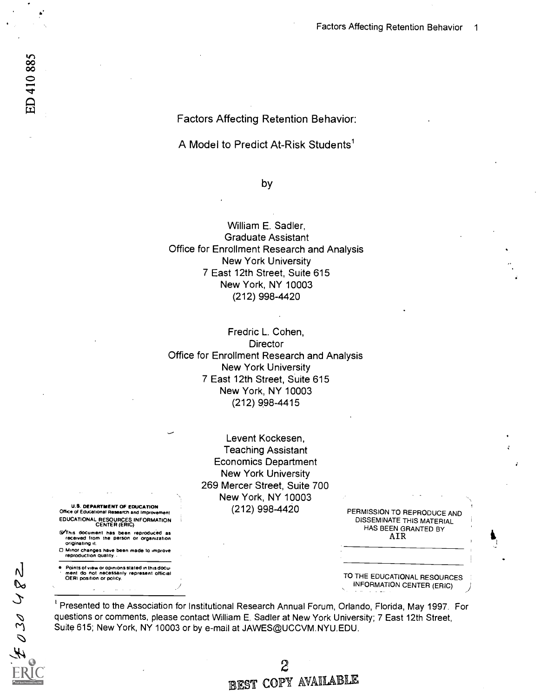Factors Affecting Retention Behavior:

A Model to Predict At-Risk Students'

### by

William E. Sadler, Graduate Assistant Office for Enrollment Research and Analysis New York University 7 East 12th Street, Suite 615 New York, NY 10003 (212) 998-4420

Fredric L. Cohen, **Director** Office for Enrollment Research and Analysis New York University 7 East 12th Street, Suite 615 New York, NY 10003 (212) 998-4415

> Levent Kockesen, Teaching Assistant Economics Department New York University 269 Mercer Street, Suite 700 New York, NY 10003

(212) 998-4420 PERMISSION TO REPRODUCE AND DISSEMINATE THIS MATERIAL HAS BEEN GRANTED BY AIR

> TO THE EDUCATIONAL RESOURCES INFORMATION CENTER (ERIC) )

Presented to the Association for Institutional Research Annual Forum, Orlando, Florida, May 1997. For questions or comments, please contact William E. Sadler at New York University; 7 East 12th Street, Suite 615; New York, NY 10003 or by e-mail at JAWES@UCCVM.NYU.EDU.

U.S. DEPARTMENT OF EDUCATION Office of Educational Research and Improvement EDUCATIONAL RESOURCES INFORMATION CENTER (ERIC)

- G),This document has been reproduced as received from the person or organization originating it.
- Minor changes have been made to improve reproduction quality.

Points of view or opinions stated in this docu- ment do not necessarily represent official OERI position or policy.

 $\overline{\mathsf{N}}$  $\infty$ 

 $E0304$ 

 $\mathbf{2}$ EST COPY AVAILABLE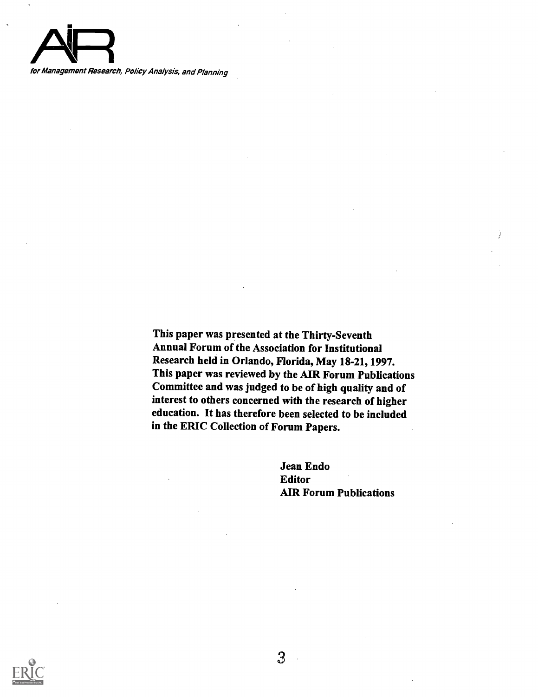

for Management Research, Policy Analysis, and Planning

This paper was presented at the Thirty-Seventh Annual Forum of the Association for Institutional Research held in Orlando, Florida, May 18-21, 1997. This paper was reviewed by the AIR Forum Publications Committee and was judged to be of high quality and of interest to others concerned with the research of higher education. It has therefore been selected to be included in the ERIC Collection of Forum Papers.

> Jean Endo Editor AIR Forum Publications

Ĵ.

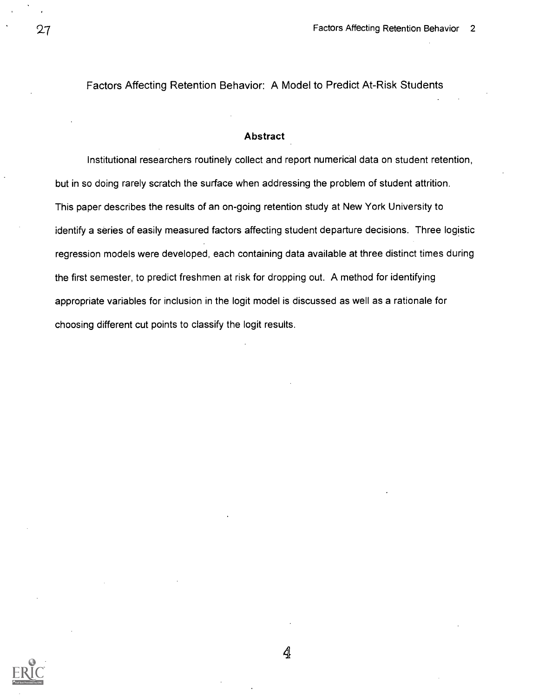Factors Affecting Retention Behavior: A Model to Predict At-Risk Students

### Abstract

Institutional researchers routinely collect and report numerical data on student retention, but in so doing rarely scratch the surface when addressing the problem of student attrition. This paper describes the results of an on-going retention study at New York University to identify a series of easily measured factors affecting student departure decisions. Three logistic regression models were developed, each containing data available at three distinct times during the first semester, to predict freshmen at risk for dropping out. A method for identifying appropriate variables for inclusion in the logit model is discussed as well as a rationale for choosing different cut points to classify the logit results.





Ą,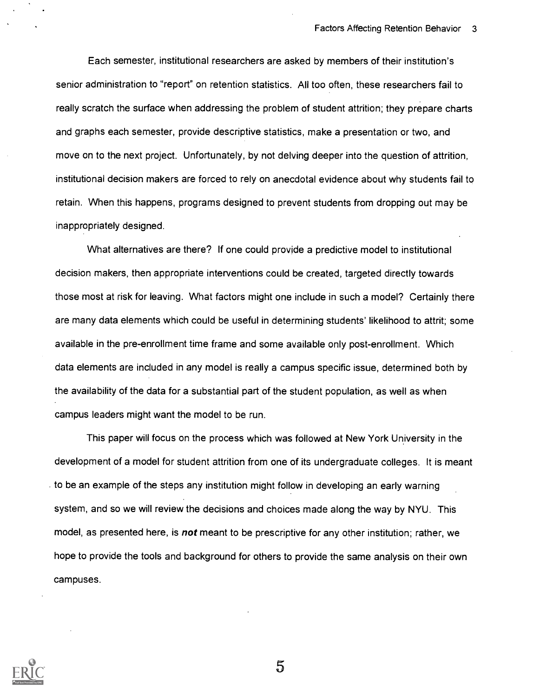Each semester, institutional researchers are asked by members of their institution's senior administration to "report" on retention statistics. All too often, these researchers fail to really scratch the surface when addressing the problem of student attrition; they prepare charts and graphs each semester, provide descriptive statistics, make a presentation or two, and move on to the next project. Unfortunately, by not delving deeper into the question of attrition, institutional decision makers are forced to rely on anecdotal evidence about why students fail to retain. When this happens, programs designed to prevent students from dropping out may be inappropriately designed.

What alternatives are there? If one could provide a predictive model to institutional decision makers, then appropriate interventions could be created, targeted directly towards those most at risk for leaving. What factors might one include in such a model? Certainly there are many data elements which could be useful in determining students' likelihood to attrit; some available in the pre-enrollment time frame and some available only post-enrollment. Which data elements are included in any model is really a campus specific issue, determined both by the availability of the data for a substantial part of the student population, as well as when campus leaders might want the model to be run.

This paper will focus on the process which was followed at New York University in the development of a model for student attrition from one of its undergraduate colleges. It is meant to be an example of the steps any institution might follow in developing an early warning system, and so we will review the decisions and choices made along the way by NYU. This model, as presented here, is **not** meant to be prescriptive for any other institution; rather, we hope to provide the tools and background for others to provide the same analysis on their own campuses.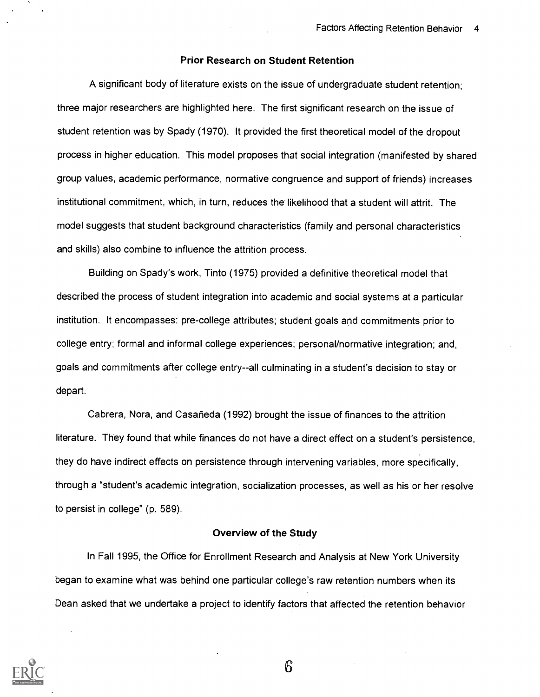### Prior Research on Student Retention

A significant body of literature exists on the issue of undergraduate student retention; three major researchers are highlighted here. The first significant research on the issue of student retention was by Spady (1970). It provided the first theoretical model of the dropout process in higher education. This model proposes that social integration (manifested by shared group values, academic performance, normative congruence and support of friends) increases institutional commitment, which, in turn, reduces the likelihood that a student will attrit. The model suggests that student background characteristics (family and personal characteristics and skills) also combine to influence the attrition process.

Building on Spady's work, Tinto (1975) provided a definitive theoretical model that described the process of student integration into academic and social systems at a particular institution. It encompasses: pre-college attributes; student goals and commitments prior to college entry; formal and informal college experiences; personal/normative integration; and, goals and commitments after college entry--all culminating in a student's decision to stay or depart.

Cabrera, Nora, and Casarieda (1992) brought the issue of finances to the attrition literature. They found that while finances do not have a direct effect on a student's persistence, they do have indirect effects on persistence through intervening variables, more specifically, through a "student's academic integration, socialization processes, as well as his or her resolve to persist in college" (p. 589).

### Overview of the Study

In Fall 1995, the Office for Enrollment Research and Analysis at New York University began to examine what was behind one particular college's raw retention numbers when its Dean asked that we undertake a project to identify factors that affected the retention behavior

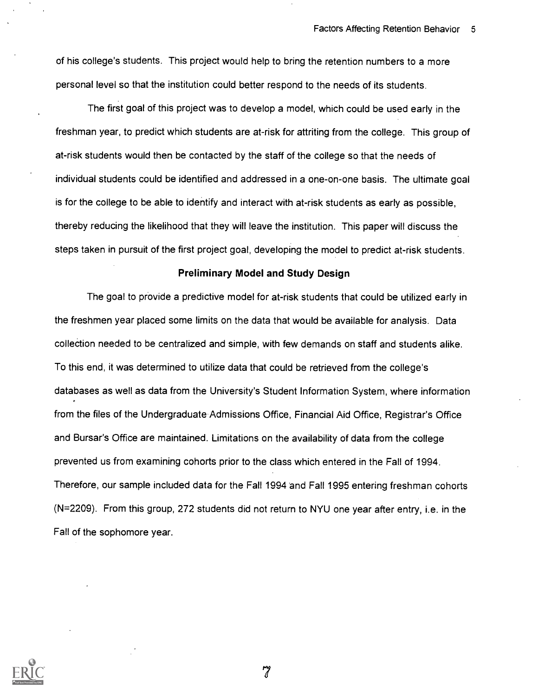of his college's students. This project would help to bring the retention numbers to a more personal level so that the institution could better respond to the needs of its students.

The first goal of this project was to develop a model, which could be used early in the freshman year, to predict which students are at-risk for attriting from the college. This group of at-risk students would then be contacted by the staff of the college so that the needs of individual students could be identified and addressed in a one-on-one basis. The ultimate goal is for the college to be able to identify and interact with at-risk students as early as possible, thereby reducing the likelihood that they will leave the institution. This paper will discuss the steps taken in pursuit of the first project goal, developing the model to predict at-risk students.

#### Preliminary Model and Study Design

The goal to provide a predictive model for at-risk students that could be utilized early in the freshmen year placed some limits on the data that would be available for analysis. Data collection needed to be centralized and simple, with few demands on staff and students alike. To this end, it was determined to utilize data that could be retrieved from the college's databases as well as data from the University's Student Information System, where information from the files of the Undergraduate Admissions Office, Financial Aid Office, Registrar's Office and Bursar's Office are maintained. Limitations on the availability of data from the college prevented us from examining cohorts prior to the class which entered in the Fall of 1994. Therefore, our sample included data for the Fall 1994 and Fall 1995 entering freshman cohorts (N=2209). From this group, 272 students did not return to NYU one year after entry, i.e. in the Fall of the sophomore year.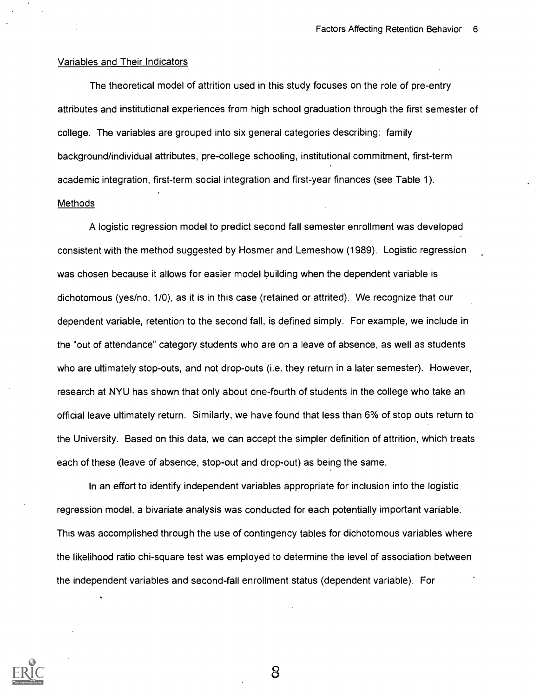### Variables and Their Indicators

The theoretical model of attrition used in this study focuses on the role of pre-entry attributes and institutional experiences from high school graduation through the first semester of college. The variables are grouped into six general categories describing: family background/individual attributes, pre-college schooling, institutional commitment, first-term academic integration, first-term social integration and first-year finances (see Table 1). **Methods** 

A logistic regression model to predict second fall semester enrollment was developed consistent with the method suggested by Hosmer and Lemeshow (1989). Logistic regression was chosen because it allows for easier model building when the dependent variable is dichotomous (yes/no, 1/0), as it is in this case (retained or attrited). We recognize that our dependent variable, retention to the second fall, is defined simply. For example, we include in the "out of attendance" category students who are on a leave of absence, as well as students who are ultimately stop-outs, and not drop-outs (i.e. they return in a later semester). However, research at NYU has shown that only about one-fourth of students in the college who take an official leave ultimately return. Similarly, we have found that less than 6% of stop outs return to the University. Based on this data, we can accept the simpler definition of attrition, which treats each of these (leave of absence, stop-out and drop-out) as being the same.

In an effort to identify independent variables appropriate for inclusion into the logistic regression model, a bivariate analysis was conducted for each potentially important variable. This was accomplished through the use of contingency tables for dichotomous variables where the likelihood ratio chi-square test was employed to determine the level of association between the independent variables and second-fall enrollment status (dependent variable). For

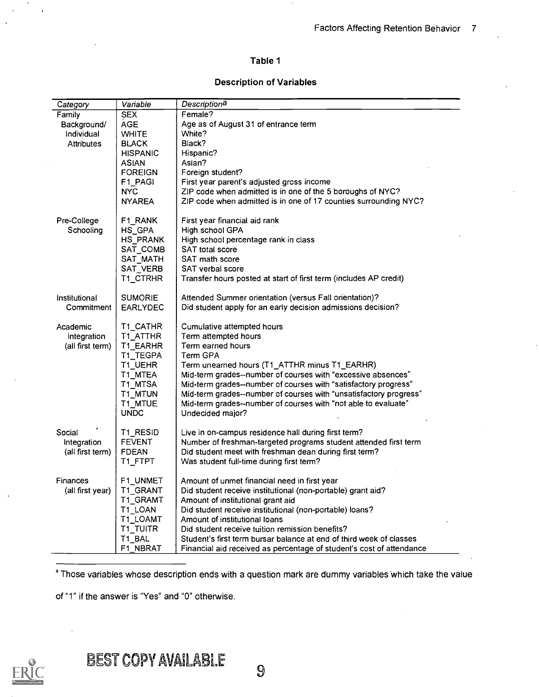### Table 1

### Description of Variables

| Category          | Variable        | Descriptiona                                                         |
|-------------------|-----------------|----------------------------------------------------------------------|
| Family            | <b>SEX</b>      | Female?                                                              |
| Background/       | <b>AGE</b>      | Age as of August 31 of entrance term                                 |
| Individual        | <b>WHITE</b>    | White?                                                               |
| <b>Attributes</b> | <b>BLACK</b>    | Black?                                                               |
|                   | <b>HISPANIC</b> | Hispanic?                                                            |
|                   | <b>ASIAN</b>    | Asian?                                                               |
|                   | <b>FOREIGN</b>  | Foreign student?                                                     |
|                   | F1 PAGI         | First year parent's adjusted gross income                            |
|                   | <b>NYC</b>      | ZIP code when admitted is in one of the 5 boroughs of NYC?           |
|                   | <b>NYAREA</b>   | ZIP code when admitted is in one of 17 counties surrounding NYC?     |
| Pre-College       | F1_RANK         | First year financial aid rank                                        |
| Schooling         | HS_GPA          | High school GPA                                                      |
|                   | HS PRANK        | High school percentage rank in class                                 |
|                   | SAT COMB        | SAT total score                                                      |
|                   | SAT MATH        | SAT math score                                                       |
|                   | SAT VERB        | SAT verbal score                                                     |
|                   | T1_CTRHR        | Transfer hours posted at start of first term (includes AP credit)    |
| Institutional     | <b>SUMORIE</b>  | Attended Summer orientation (versus Fall orientation)?               |
| Commitment        | EARLYDEC        | Did student apply for an early decision admissions decision?         |
| Academic          | T1 CATHR        | Cumulative attempted hours                                           |
| Integration       | T1_ATTHR        | Term attempted hours                                                 |
| (all first term)  | T1 EARHR        | Term earned hours                                                    |
|                   | T1 TEGPA        | Term GPA                                                             |
|                   | T1_UEHR         | Term unearned hours (T1_ATTHR minus T1_EARHR)                        |
|                   | T1 MTEA         | Mid-term grades--number of courses with "excessive absences"         |
|                   | T1_MTSA         | Mid-term grades--number of courses with "satisfactory progress"      |
|                   | T1_MTUN         | Mid-term grades--number of courses with "unsatisfactory progress"    |
|                   | T1_MTUE         | Mid-term grades--number of courses with "not able to evaluate"       |
|                   | <b>UNDC</b>     | Undecided major?                                                     |
| Social            | T1 RESID        | Live in on-campus residence hall during first term?                  |
| Integration       | <b>FEVENT</b>   | Number of freshman-targeted programs student attended first term     |
| (all first term)  | <b>FDEAN</b>    | Did student meet with freshman dean during first term?               |
|                   | T1 FTPT         | Was student full-time during first term?                             |
| Finances          | F1 UNMET        | Amount of unmet financial need in first year                         |
| (all first year)  | T1_GRANT        | Did student receive institutional (non-portable) grant aid?          |
|                   | T1_GRAMT        | Amount of institutional grant aid                                    |
|                   | T1 LOAN         | Did student receive institutional (non-portable) loans?              |
|                   | T1_LOAMT        | Amount of institutional loans                                        |
|                   | T1_TUITR        | Did student receive tuition remission benefits?                      |
|                   | T1_BAL          | Student's first term bursar balance at end of third week of classes  |
|                   | F1 NBRAT        | Financial aid received as percentage of student's cost of attendance |

<sup>a</sup> Those variables whose description ends with a question mark are dummy variables which take the value

of "1" if the answer is "Yes" and "0" otherwise.

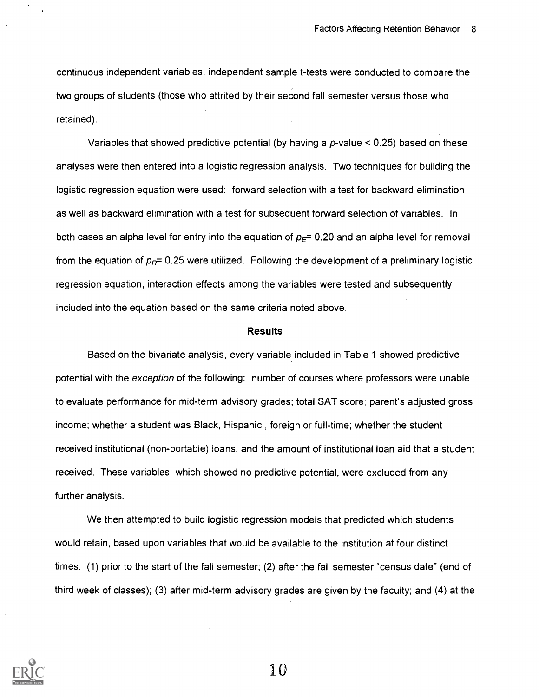continuous independent variables, independent sample t-tests were conducted to compare the two groups of students (those who attrited by their second fall semester versus those who retained).

Variables that showed predictive potential (by having a  $p$ -value < 0.25) based on these analyses were then entered into a logistic regression analysis. Two techniques for building the logistic regression equation were used: forward selection with a test for backward elimination as well as backward elimination with a test for subsequent forward selection of variables. In both cases an alpha level for entry into the equation of  $p<sub>E</sub>= 0.20$  and an alpha level for removal from the equation of  $p_R$ = 0.25 were utilized. Following the development of a preliminary logistic regression equation, interaction effects among the variables were tested and subsequently included into the equation based on the same criteria noted above.

#### Results

Based on the bivariate analysis, every variable included in Table 1 showed predictive potential with the exception of the following: number of courses where professors were unable to evaluate performance for mid-term advisory grades; total SAT score; parent's adjusted gross income; whether a student was Black, Hispanic , foreign or full-time; whether the student received institutional (non-portable) loans; and the amount of institutional loan aid that a student received. These variables, which showed no predictive potential, were excluded from any further analysis.

We then attempted to build logistic regression models that predicted which students would retain, based upon variables that would be available to the institution at four distinct times: (1) prior to the start of the fall semester; (2) after the fall semester "census date" (end of third week of classes); (3) after mid-term advisory grades are given by the faculty; and (4) at the

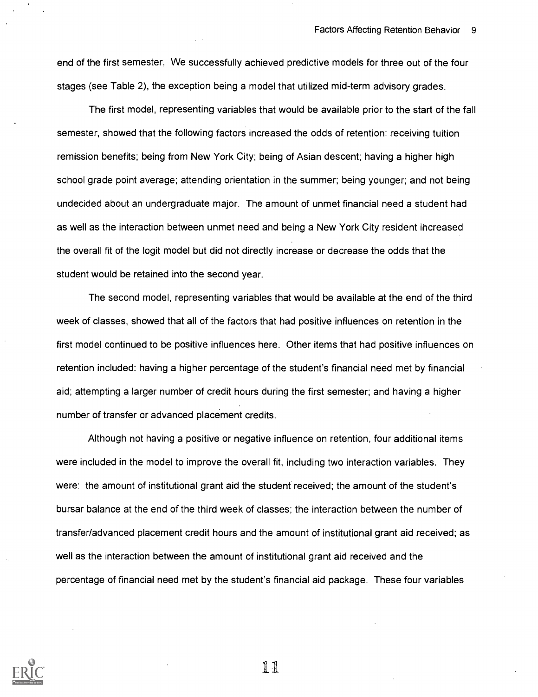end of the first semester. We successfully achieved predictive models for three out of the four stages (see Table 2), the exception being a model that utilized mid-term advisory grades.

The first model, representing variables that would be available prior to the start of the fall semester, showed that the following factors increased the odds of retention: receiving tuition remission benefits; being from New York City; being of Asian descent; having a higher high school grade point average; attending orientation in the summer; being younger; and not being undecided about an undergraduate major. The amount of unmet financial need a student had as well as the interaction between unmet need and being a New York City resident increased the overall fit of the logit model but did not directly increase or decrease the odds that the student would be retained into the second year.

The second model, representing variables that would be available at the end of the third week of classes, showed that all of the factors that had positive influences on retention in the first model continued to be positive influences here. Other items that had positive influences on retention included: having a higher percentage of the student's financial need met by financial aid; attempting a larger number of credit hours during the first semester; and having a higher number of transfer or advanced placement credits.

Although not having a positive or negative influence on retention, four additional items were included in the model to improve the overall fit, including two interaction variables. They were: the amount of institutional grant aid the student received; the amount of the student's bursar balance at the end of the third week of classes; the interaction between the number of transfer/advanced placement credit hours and the amount of institutional grant aid received; as well as the interaction between the amount of institutional grant aid received and the percentage of financial need met by the student's financial aid package. These four variables

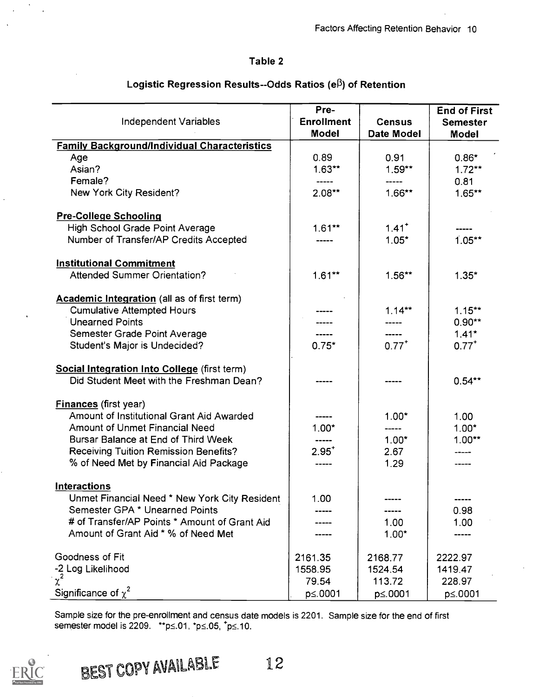# Table 2

|                                                     | Pre-                              |                             | <b>End of First</b>             |
|-----------------------------------------------------|-----------------------------------|-----------------------------|---------------------------------|
| Independent Variables                               | <b>Enrollment</b><br><b>Model</b> | <b>Census</b><br>Date Model | <b>Semester</b><br><b>Model</b> |
| <b>Family Background/Individual Characteristics</b> |                                   |                             |                                 |
| Age                                                 | 0.89                              | 0.91                        | $0.86*$                         |
| Asian?                                              | $1.63**$                          | $1.59**$                    | $1.72***$                       |
| Female?                                             |                                   |                             | 0.81                            |
| New York City Resident?                             | $2.08***$                         | $1.66***$                   | $1.65**$                        |
| <b>Pre-College Schooling</b>                        |                                   |                             |                                 |
| High School Grade Point Average                     | $1.61***$                         | $1.41$ <sup>+</sup>         |                                 |
| Number of Transfer/AP Credits Accepted              |                                   | $1.05*$                     | $1.05**$                        |
| <b>Institutional Commitment</b>                     |                                   |                             |                                 |
| <b>Attended Summer Orientation?</b>                 | $1.61**$                          | $1.56**$                    | $1.35*$                         |
| Academic Integration (all as of first term)         |                                   |                             |                                 |
| <b>Cumulative Attempted Hours</b>                   |                                   | $1.14***$                   | $1.15***$                       |
| <b>Unearned Points</b>                              |                                   |                             | $0.90**$                        |
| Semester Grade Point Average                        |                                   | -----                       | $1.41*$                         |
| Student's Major is Undecided?                       | $0.75*$                           | $0.77$ <sup>+</sup>         | $0.77^{+}$                      |
| Social Integration Into College (first term)        |                                   |                             |                                 |
| Did Student Meet with the Freshman Dean?            |                                   |                             | $0.54***$                       |
| <b>Finances</b> (first year)                        |                                   |                             |                                 |
| Amount of Institutional Grant Aid Awarded           |                                   | $1.00*$                     | 1.00                            |
| <b>Amount of Unmet Financial Need</b>               | $1.00*$                           |                             | $1.00*$                         |
| Bursar Balance at End of Third Week                 |                                   | $1.00*$                     | $1.00**$                        |
| <b>Receiving Tuition Remission Benefits?</b>        | $2.95^{+}$                        | 2.67                        |                                 |
| % of Need Met by Financial Aid Package              |                                   | 1.29                        |                                 |
| <b>Interactions</b>                                 |                                   |                             |                                 |
| Unmet Financial Need * New York City Resident       | 1.00                              |                             |                                 |
| Semester GPA * Unearned Points                      |                                   |                             | 0.98                            |
| # of Transfer/AP Points * Amount of Grant Aid       |                                   | 1.00                        | 1.00                            |
| Amount of Grant Aid * % of Need Met                 |                                   | $1.00*$                     |                                 |
| Goodness of Fit                                     | 2161.35                           | 2168.77                     | 2222.97                         |
| -2 Log Likelihood                                   | 1558.95                           | 1524.54                     | 1419.47                         |
| $\chi^2$                                            | 79.54                             | 113.72                      | 228.97                          |
| Significance of $\chi^2$                            | p≤.0001                           | p≤.0001                     | p≤.0001                         |

# Logistic Regression Results--Odds Ratios (e $\beta$ ) of Retention

Sample size for the pre-enrollment and census date models is 2201. Sample size for the end of first semester model is 2209. \*\*p $\leq$ .01, \*p $\leq$ .05, \*p $\leq$ .10.

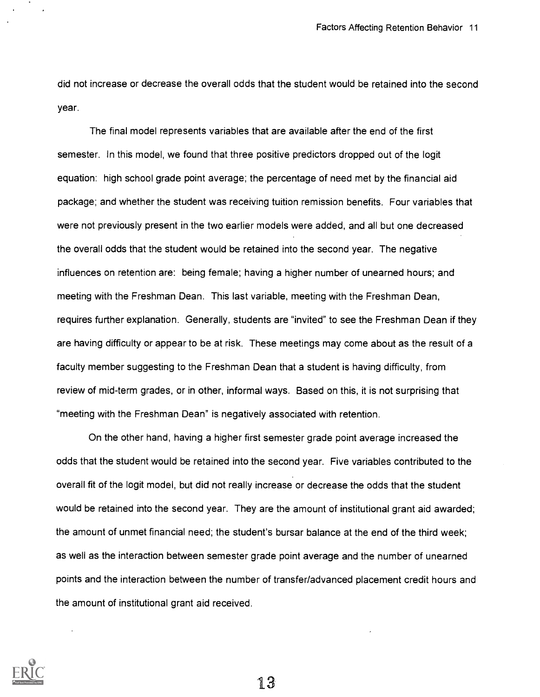did not increase or decrease the overall odds that the student would be retained into the second year.

The final model represents variables that are available after the end of the first semester. In this model, we found that three positive predictors dropped out of the logit equation: high school grade point average; the percentage of need met by the financial aid package; and whether the student was receiving tuition remission benefits. Four variables that were not previously present in the two earlier models were added, and all but one decreased the overall odds that the student would be retained into the second year. The negative influences on retention are: being female; having a higher number of unearned hours; and meeting with the Freshman Dean. This last variable, meeting with the Freshman Dean, requires further explanation. Generally, students are "invited" to see the Freshman Dean if they are having difficulty or appear to be at risk. These meetings may come about as the result of a faculty member suggesting to the Freshman Dean that a student is having difficulty, from review of mid-term grades, or in other, informal ways. Based on this, it is not surprising that "meeting with the Freshman Dean" is negatively associated with retention.

On the other hand, having a higher first semester grade point average increased the odds that the student would be retained into the second year. Five variables contributed to the overall fit of the logit model, but did not really increase or decrease the odds that the student would be retained into the second year. They are the amount of institutional grant aid awarded; the amount of unmet financial need; the student's bursar balance at the end of the third week; as well as the interaction between semester grade point average and the number of unearned points and the interaction between the number of transfer/advanced placement credit hours and the amount of institutional grant aid received.

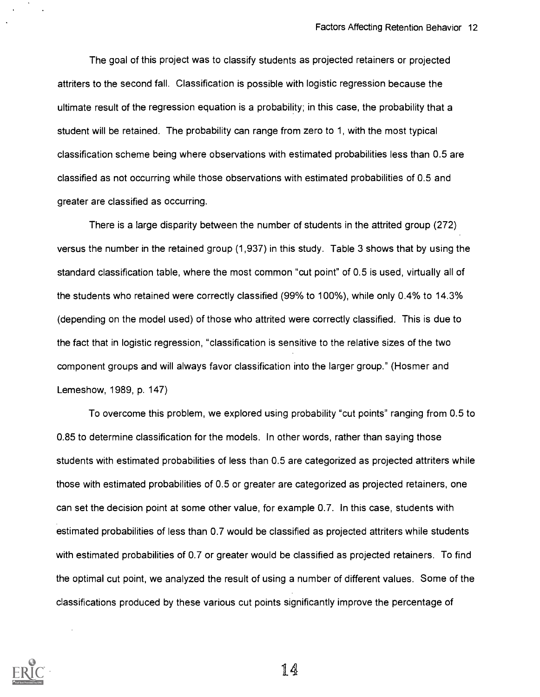The goal of this project was to classify students as projected retainers or projected attriters to the second fall. Classification is possible with logistic regression because the ultimate result of the regression equation is a probability; in this case, the probability that a student will be retained. The probability can range from zero to 1, with the most typical classification scheme being where observations with estimated probabilities less than 0.5 are classified as not occurring while those observations with estimated probabilities of 0.5 and greater are classified as occurring.

There is a large disparity between the number of students in the attrited group (272) versus the number in the retained group (1,937) in this study. Table 3 shows that by using the standard classification table, where the most common "cut point" of 0.5 is used, virtually all of the students who retained were correctly classified (99% to 100%), while only 0.4% to 14.3% (depending on the model used) of those who attrited were correctly classified. This is due to the fact that in logistic regression, "classification is sensitive to the relative sizes of the two component groups and will always favor classification into the larger group." (Hosmer and Lemeshow, 1989, p. 147)

To overcome this problem, we explored using probability "cut points" ranging from 0.5 to 0.85 to determine classification for the models. In other words, rather than saying those students with estimated probabilities of less than 0.5 are categorized as projected attriters while those with estimated probabilities of 0.5 or greater are categorized as projected retainers, one can set the decision point at some other value, for example 0.7. In this case, students with estimated probabilities of less than 0.7 would be classified as projected attriters while students with estimated probabilities of 0.7 or greater would be classified as projected retainers. To find the optimal cut point, we analyzed the result of using a number of different values. Some of the classifications produced by these various cut points significantly improve the percentage of

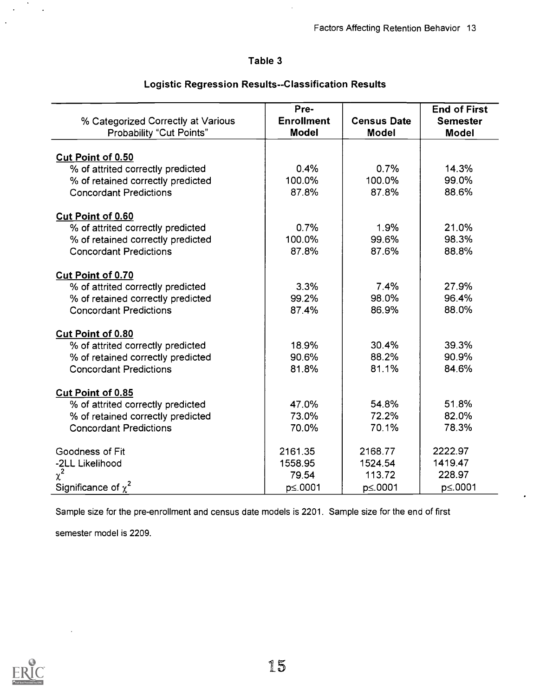## Table 3

|                                    | Pre-              |                    | <b>End of First</b> |  |
|------------------------------------|-------------------|--------------------|---------------------|--|
| % Categorized Correctly at Various | <b>Enrollment</b> | <b>Census Date</b> | <b>Semester</b>     |  |
| Probability "Cut Points"           | <b>Model</b>      | <b>Model</b>       | <b>Model</b>        |  |
| <b>Cut Point of 0.50</b>           |                   |                    |                     |  |
| % of attrited correctly predicted  | 0.4%              | 0.7%               | 14.3%               |  |
| % of retained correctly predicted  | 100.0%            | 100.0%             | 99.0%               |  |
| <b>Concordant Predictions</b>      | 87.8%             | 87.8%              | 88.6%               |  |
| <b>Cut Point of 0.60</b>           |                   |                    |                     |  |
| % of attrited correctly predicted  | 0.7%              | 1.9%               | 21.0%               |  |
| % of retained correctly predicted  | 100.0%            | 99.6%              | 98.3%               |  |
| <b>Concordant Predictions</b>      | 87.8%             | 87.6%              | 88.8%               |  |
| <b>Cut Point of 0.70</b>           |                   |                    |                     |  |
| % of attrited correctly predicted  | 3.3%              | 7.4%               | 27.9%               |  |
| % of retained correctly predicted  | 99.2%             | 98.0%              | 96.4%               |  |
| <b>Concordant Predictions</b>      | 87.4%             | 86.9%              | 88.0%               |  |
| <b>Cut Point of 0.80</b>           |                   |                    |                     |  |
| % of attrited correctly predicted  | 18.9%             | 30.4%              | 39.3%               |  |
| % of retained correctly predicted  | 90.6%             | 88.2%              | 90.9%               |  |
| <b>Concordant Predictions</b>      | 81.8%             | 81.1%              | 84.6%               |  |
| <b>Cut Point of 0.85</b>           |                   |                    |                     |  |
| % of attrited correctly predicted  | 47.0%             | 54.8%              | 51.8%               |  |
| % of retained correctly predicted  | 73.0%             | 72.2%              | 82.0%               |  |
| <b>Concordant Predictions</b>      | 70.0%             | 70.1%              | 78.3%               |  |
| Goodness of Fit                    | 2161.35           | 2168.77            | 2222.97             |  |
| -2LL Likelihood                    | 1558.95           | 1524.54            | 1419.47             |  |

## Logistic Regression Results--Classification Results

Sample size for the pre-enrollment and census date models is 2201. Sample size for the end of first

Significance of  $\chi^2$  <br>  $\qquad \qquad$  p  $\leq$  0001 p  $\leq$  0001 p  $\leq$  0001 p  $\leq$  0001

 $\chi^2$  228.97 113.72 228.97

semester model is 2209.



 $\ddot{\phantom{0}}$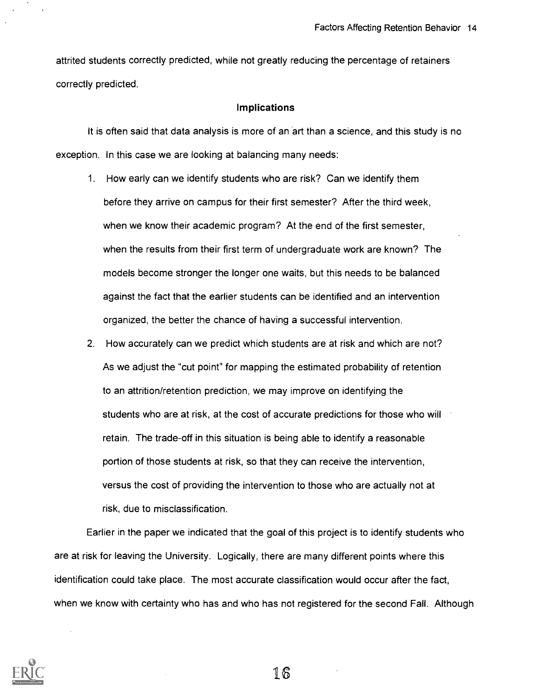attrited students correctly predicted, while not greatly reducing the percentage of retainers correctly predicted.

### Implications

It is often said that data analysis is more of an art than a science, and this study is no exception. In this case we are looking at balancing many needs:

- 1. How early can we identify students who are risk? Can we identify them before they arrive on campus for their first semester? After the third week, when we know their academic program? At the end of the first semester, when the results from their first term of undergraduate work are known? The models become stronger the longer one waits, but this needs to be balanced against the fact that the earlier students can be identified and an intervention organized, the better the chance of having a successful intervention.
- 2. How accurately can we predict which students are at risk and which are not? As we adjust the "cut point" for mapping the estimated probability of retention to an attrition/retention prediction, we may improve on identifying the students who are at risk, at the cost of accurate predictions for those who will retain. The trade-off in this situation is being able to identify a reasonable portion of those students at risk, so that they can receive the intervention, versus the cost of providing the intervention to those who are actually not at risk, due to misclassification.

Earlier in the paper we indicated that the goal of this project is to identify students who are at risk for leaving the University. Logically, there are many different points where this identification could take place. The most accurate classification would occur after the fact, when we know with certainty who has and who has not registered for the second Fall. Although

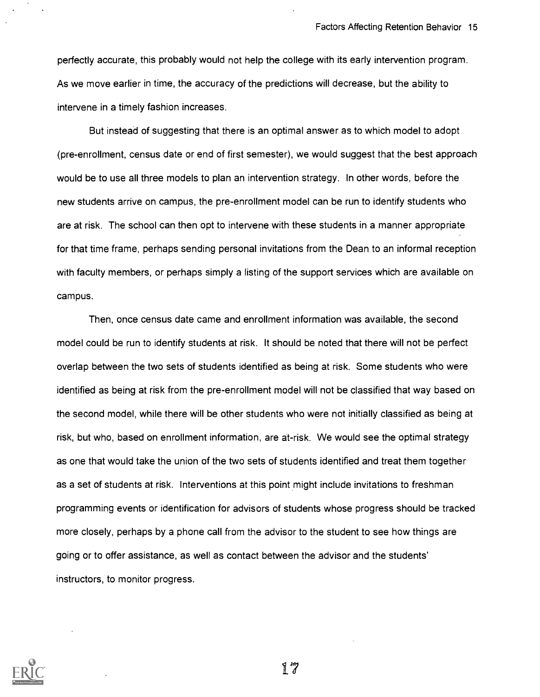perfectly accurate, this probably would not help the college with its early intervention program. As we move earlier in time, the accuracy of the predictions will decrease, but the ability to intervene in a timely fashion increases.

But instead of suggesting that there is an optimal answer as to which model to adopt (pre-enrollment, census date or end of first semester), we would suggest that the best approach would be to use all three models to plan an intervention strategy. In other words, before the new students arrive on campus, the pre-enrollment model can be run to identify students who are at risk. The school can then opt to intervene with these students in a manner appropriate for that time frame, perhaps sending personal invitations from the Dean to an informal reception with faculty members, or perhaps simply a listing of the support services which are available on campus.

Then, once census date came and enrollment information was available, the second model could be run to identify students at risk. It should be noted that there will not be perfect overlap between the two sets of students identified as being at risk. Some students who were identified as being at risk from the pre-enrollment model will not be classified that way based on the second model, while there will be other students who were not initially classified as being at risk, but who, based on enrollment information, are at-risk. We would see the optimal strategy as one that would take the union of the two sets of students identified and treat them together as a set of students at risk. Interventions at this point might include invitations to freshman programming events or identification for advisors of students whose progress should be tracked more closely, perhaps by a phone call from the advisor to the student to see how things are going or to offer assistance, as well as contact between the advisor and the students' instructors, to monitor progress.

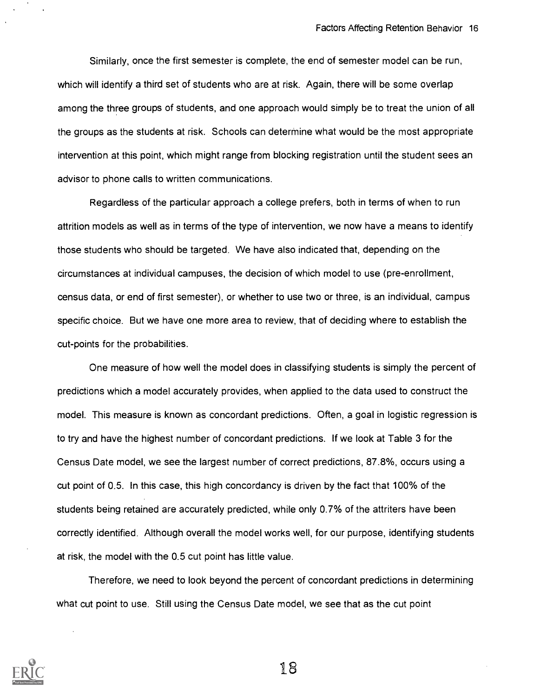Similarly, once the first semester is complete, the end of semester model can be run, which will identify a third set of students who are at risk. Again, there will be some overlap among the three groups of students, and one approach would simply be to treat the union of all the groups as the students at risk. Schools can determine what would be the most appropriate intervention at this point, which might range from blocking registration until the student sees an advisor to phone calls to written communications.

Regardless of the particular approach a college prefers, both in terms of when to run attrition models as well as in terms of the type of intervention, we now have a means to identify those students who should be targeted. We have also indicated that, depending on the circumstances at individual campuses, the decision of which model to use (pre-enrollment, census data, or end of first semester), or whether to use two or three, is an individual, campus specific choice. But we have one more area to review, that of deciding where to establish the cut-points for the probabilities.

One measure of how well the model does in classifying students is simply the percent of predictions which a model accurately provides, when applied to the data used to construct the model. This measure is known as concordant predictions. Often, a goal in logistic regression is to try and have the highest number of concordant predictions. If we look at Table 3 for the Census Date model, we see the largest number of correct predictions, 87.8%, occurs using a cut point of 0.5. In this case, this high concordancy is driven by the fact that 100% of the students being retained are accurately predicted, while only 0.7% of the attriters have been correctly identified. Although overall the model works well, for our purpose, identifying students at risk, the model with the 0.5 cut point has little value.

Therefore, we need to look beyond the percent of concordant predictions in determining what cut point to use. Still using the Census Date model, we see that as the cut point

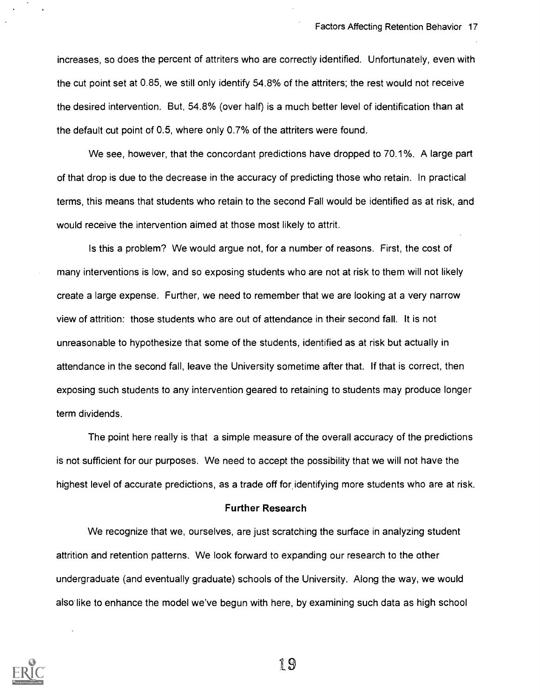increases, so does the percent of attriters who are correctly identified. Unfortunately, even with the cut point set at 0.85, we still only identify 54.8% of the attriters; the rest would not receive the desired intervention. But, 54.8% (over half) is a much better level of identification than at the default cut point of 0.5, where only 0.7% of the attriters were found.

We see, however, that the concordant predictions have dropped to 70.1%. A large part of that drop is due to the decrease in the accuracy of predicting those who retain. In practical terms, this means that students who retain to the second Fall would be identified as at risk, and would receive the intervention aimed at those most likely to attrit.

Is this a problem? We would argue not, for a number of reasons. First, the cost of many interventions is low, and so exposing students who are not at risk to them will not likely create a large expense. Further, we need to remember that we are looking at a very narrow view of attrition: those students who are out of attendance in their second fall. It is not unreasonable to hypothesize that some of the students, identified as at risk but actually in attendance in the second fall, leave the University sometime after that. If that is correct, then exposing such students to any intervention geared to retaining to students may produce longer term dividends.

The point here really is that a simple measure of the overall accuracy of the predictions is not sufficient for our purposes. We need to accept the possibility that we will not have the highest level of accurate predictions, as a trade off for identifying more students who are at risk.

#### Further Research

We recognize that we, ourselves, are just scratching the surface in analyzing student attrition and retention patterns. We look forward to expanding our research to the other undergraduate (and eventually graduate) schools of the University. Along the way, we would also like to enhance the model we've begun with here, by examining such data as high school

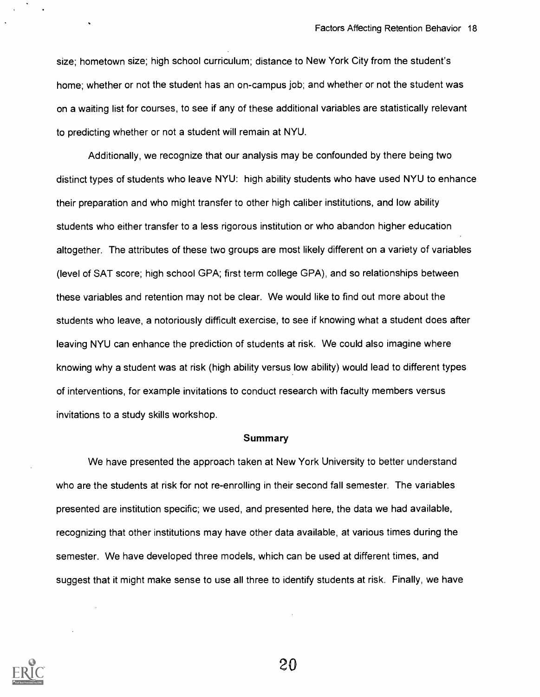size; hometown size; high school curriculum; distance to New York City from the student's home; whether or not the student has an on-campus job; and whether or not the student was on a waiting list for courses, to see if any of these additional variables are statistically relevant to predicting whether or not a student will remain at NYU.

Additionally, we recognize that our analysis may be confounded by there being two distinct types of students who leave NYU: high ability students who have used NYU to enhance their preparation and who might transfer to other high caliber institutions, and low ability students who either transfer to a less rigorous institution or who abandon higher education altogether. The attributes of these two groups are most likely different on a variety of variables (level of SAT score; high school GPA; first term college GPA), and so relationships between these variables and retention may not be clear. We would like to find out more about the students who leave, a notoriously difficult exercise, to see if knowing what a student does after leaving NYU can enhance the prediction of students at risk. We could also imagine where knowing why a student was at risk (high ability versus low ability) would lead to different types of interventions, for example invitations to conduct research with faculty members versus invitations to a study skills workshop.

#### Summary

We have presented the approach taken at New York University to better understand who are the students at risk for not re-enrolling in their second fall semester. The variables presented are institution specific; we used, and presented here, the data we had available, recognizing that other institutions may have other data available, at various times during the semester. We have developed three models, which can be used at different times, and suggest that it might make sense to use all three to identify students at risk. Finally, we have

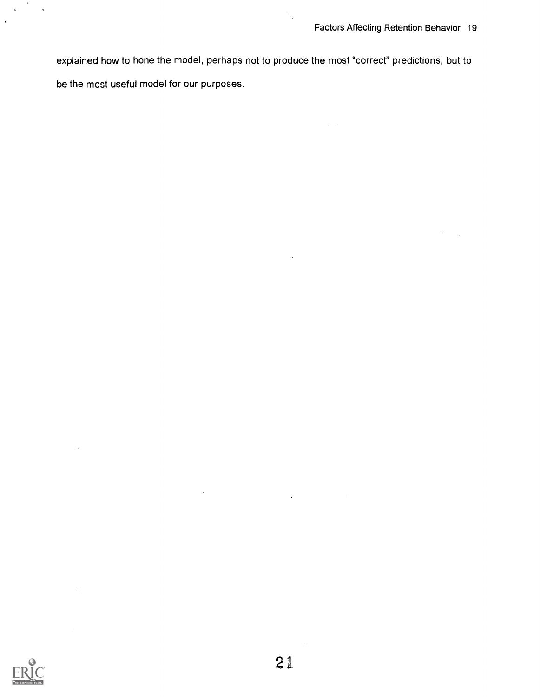explained how to hone the model, perhaps not to produce the most "correct" predictions, but to be the most useful model for our purposes.

 $\gamma_{\rm{in}}$ 

 $\ddot{\phantom{a}}$ 



 $\ddot{\phantom{0}}$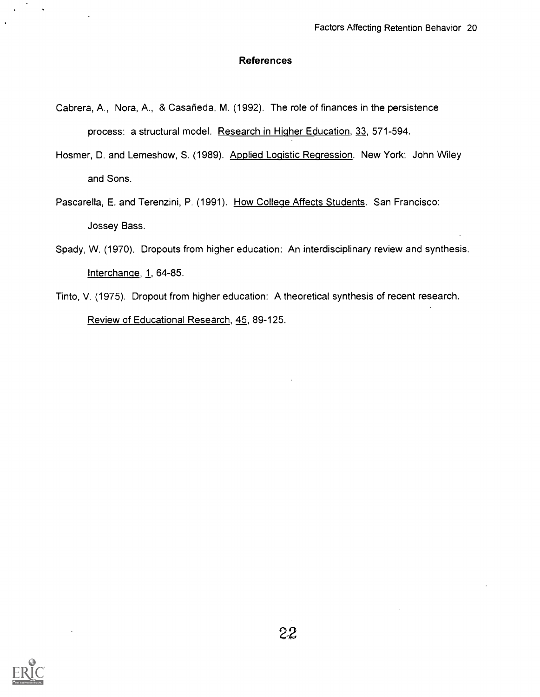### References

- Cabrera, A., Nora, A., & Casafieda, M. (1992). The role of finances in the persistence process: a structural model. Research in Higher Education, 33, 571-594.
- Hosmer, D. and Lemeshow, S. (1989). Applied Logistic Regression. New York: John Wiley and Sons.
- Pascarella, E. and Terenzini, P. (1991). How College Affects Students. San Francisco: Jossey Bass.
- Spady, W. (1970). Dropouts from higher education: An interdisciplinary review and synthesis. Interchange, 1, 64-85.
- Tinto, V. (1975). Dropout from higher education: A theoretical synthesis of recent research. Review of Educational Research, 45, 89-125.